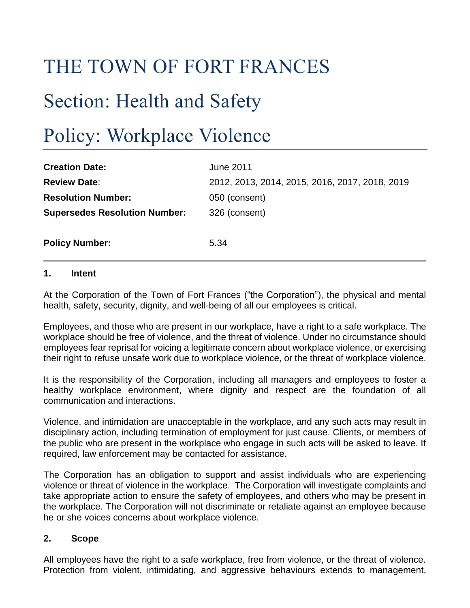## THE TOWN OF FORT FRANCES

# Section: Health and Safety

## Policy: Workplace Violence

| <b>Creation Date:</b>                | June 2011                                      |
|--------------------------------------|------------------------------------------------|
| <b>Review Date:</b>                  | 2012, 2013, 2014, 2015, 2016, 2017, 2018, 2019 |
| <b>Resolution Number:</b>            | 050 (consent)                                  |
| <b>Supersedes Resolution Number:</b> | 326 (consent)                                  |
|                                      |                                                |
| <b>Policy Number:</b>                | 5.34                                           |
|                                      |                                                |

#### **1. Intent**

At the Corporation of the Town of Fort Frances ("the Corporation"), the physical and mental health, safety, security, dignity, and well-being of all our employees is critical.

Employees, and those who are present in our workplace, have a right to a safe workplace. The workplace should be free of violence, and the threat of violence. Under no circumstance should employees fear reprisal for voicing a legitimate concern about workplace violence, or exercising their right to refuse unsafe work due to workplace violence, or the threat of workplace violence.

It is the responsibility of the Corporation, including all managers and employees to foster a healthy workplace environment, where dignity and respect are the foundation of all communication and interactions.

Violence, and intimidation are unacceptable in the workplace, and any such acts may result in disciplinary action, including termination of employment for just cause. Clients, or members of the public who are present in the workplace who engage in such acts will be asked to leave. If required, law enforcement may be contacted for assistance.

The Corporation has an obligation to support and assist individuals who are experiencing violence or threat of violence in the workplace. The Corporation will investigate complaints and take appropriate action to ensure the safety of employees, and others who may be present in the workplace. The Corporation will not discriminate or retaliate against an employee because he or she voices concerns about workplace violence.

#### **2. Scope**

All employees have the right to a safe workplace, free from violence, or the threat of violence. Protection from violent, intimidating, and aggressive behaviours extends to management,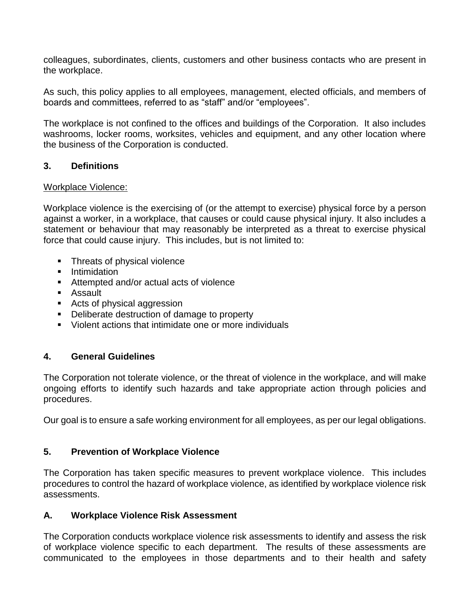colleagues, subordinates, clients, customers and other business contacts who are present in the workplace.

As such, this policy applies to all employees, management, elected officials, and members of boards and committees, referred to as "staff" and/or "employees".

The workplace is not confined to the offices and buildings of the Corporation. It also includes washrooms, locker rooms, worksites, vehicles and equipment, and any other location where the business of the Corporation is conducted.

### **3. Definitions**

#### Workplace Violence:

Workplace violence is the exercising of (or the attempt to exercise) physical force by a person against a worker, in a workplace, that causes or could cause physical injury. It also includes a statement or behaviour that may reasonably be interpreted as a threat to exercise physical force that could cause injury. This includes, but is not limited to:

- Threats of physical violence
- Intimidation
- Attempted and/or actual acts of violence
- Assault
- Acts of physical aggression
- Deliberate destruction of damage to property
- Violent actions that intimidate one or more individuals

## **4. General Guidelines**

The Corporation not tolerate violence, or the threat of violence in the workplace, and will make ongoing efforts to identify such hazards and take appropriate action through policies and procedures.

Our goal is to ensure a safe working environment for all employees, as per our legal obligations.

## **5. Prevention of Workplace Violence**

The Corporation has taken specific measures to prevent workplace violence. This includes procedures to control the hazard of workplace violence, as identified by workplace violence risk assessments.

### **A. Workplace Violence Risk Assessment**

The Corporation conducts workplace violence risk assessments to identify and assess the risk of workplace violence specific to each department. The results of these assessments are communicated to the employees in those departments and to their health and safety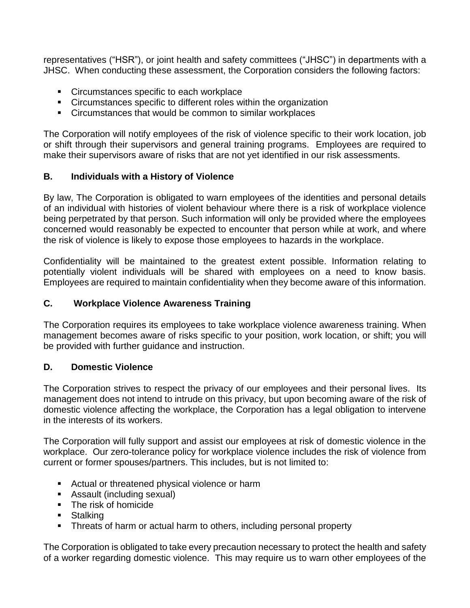representatives ("HSR"), or joint health and safety committees ("JHSC") in departments with a JHSC. When conducting these assessment, the Corporation considers the following factors:

- Circumstances specific to each workplace
- Circumstances specific to different roles within the organization
- Circumstances that would be common to similar workplaces

The Corporation will notify employees of the risk of violence specific to their work location, job or shift through their supervisors and general training programs. Employees are required to make their supervisors aware of risks that are not yet identified in our risk assessments.

### **B. Individuals with a History of Violence**

By law, The Corporation is obligated to warn employees of the identities and personal details of an individual with histories of violent behaviour where there is a risk of workplace violence being perpetrated by that person. Such information will only be provided where the employees concerned would reasonably be expected to encounter that person while at work, and where the risk of violence is likely to expose those employees to hazards in the workplace.

Confidentiality will be maintained to the greatest extent possible. Information relating to potentially violent individuals will be shared with employees on a need to know basis. Employees are required to maintain confidentiality when they become aware of this information.

## **C. Workplace Violence Awareness Training**

The Corporation requires its employees to take workplace violence awareness training. When management becomes aware of risks specific to your position, work location, or shift; you will be provided with further guidance and instruction.

#### **D. Domestic Violence**

The Corporation strives to respect the privacy of our employees and their personal lives. Its management does not intend to intrude on this privacy, but upon becoming aware of the risk of domestic violence affecting the workplace, the Corporation has a legal obligation to intervene in the interests of its workers.

The Corporation will fully support and assist our employees at risk of domestic violence in the workplace. Our zero-tolerance policy for workplace violence includes the risk of violence from current or former spouses/partners. This includes, but is not limited to:

- Actual or threatened physical violence or harm
- Assault (including sexual)
- **E** The risk of homicide
- Stalking
- Threats of harm or actual harm to others, including personal property

The Corporation is obligated to take every precaution necessary to protect the health and safety of a worker regarding domestic violence. This may require us to warn other employees of the